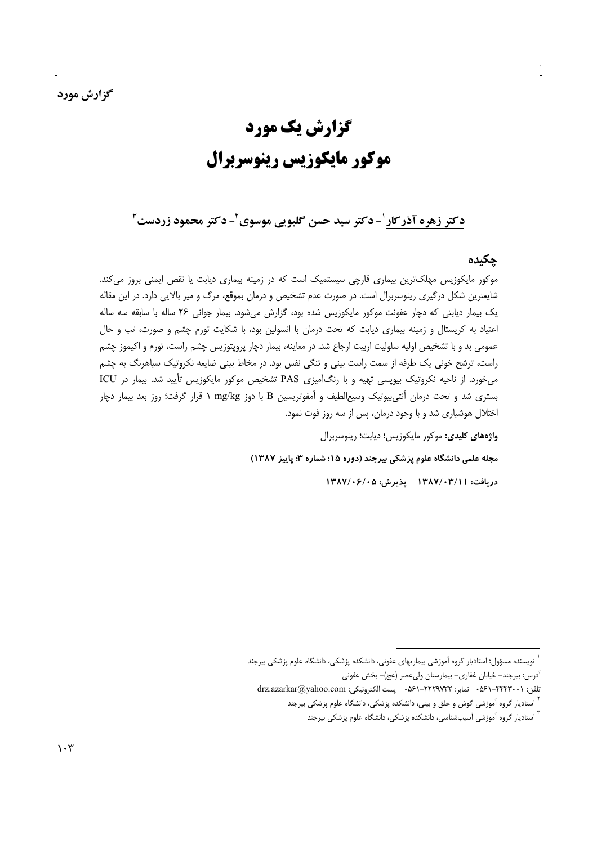# گزارش یک مورد موکور مایکوزیس رینوسربرال

دکتر زهره آذرکار ٰ- دکتر سید حسن گلبویی موسوی ٔ- دکتر محمود زردست ٔ

### حكىدە

موکور مایکوزیس مهلکترین بیماری قارچی سیستمیک است که در زمینه بیماری دیابت یا نقص ایمنی بروز میکند. شایعترین شکل درگیری رینوسربرال است. در صورت عدم تشخیص و درمان بموقع، مرگ و میر بالایی دارد. در این مقاله یک بیمار دیابتی که دچار عفونت موکور مایکوزیس شده بود، گزارش میشود. بیمار جوانی ۲۶ ساله با سابقه سه ساله اعتیاد به کریستال و زمینه بیماری دیابت که تحت درمان با انسولین بود، با شکایت تورم چشم و صورت، تب و حال عمومی بد و با تشخیص اولیه سلولیت اربیت ارجاع شد. در معاینه، بیمار دچار پروپتوزیس چشم راست، تورم و اکیموز چشم راست، ترشح خونی یک طرفه از سمت راست بینی و تنگی نفس بود. در مخاط بینی ضایعه نکروتیک سیاهرنگ به چشم می خورد. از ناحیه نکروتیک بیویسی تهیه و با رنگآمیزی PAS تشخیص موکور مایکوزیس تأیید شد. بیمار در ICU بستری شد و تحت درمان آنتی بیوتیک وسیع|لطیف و آمفوتریسین B با دوز mg/kg ۱ قرار گرفت؛ روز بعد بیمار دچار اختلال هوشیاری شد و با وجود درمان، پس از سه روز فوت نمود.

واژههای کلیدی: موکور مایکوزیس؛ دیابت؛ رینوسربرال

مجله علمی دانشگاه علوم پزشکی بیرجند (دوره ۱۵؛ شماره ۳؛ پاییز ۱۳۸۷)

دريافت: ١٣٨٧/٠٣/١١ پذيرش: ١٣٨٧/٠۶/٠٥

نویسنده مسؤول؛ استادیار گروه آموزشی بیماریهای عفونی، دانشکده پزشکی، دانشگاه علوم پزشکی بیرجند

آدرس: بیرجند- خیابان غفاری- بیمارستان ولی عصر (عج)- بخش عفونی

تلفن: ۰۵۶۱–۴۴۴۳۰۰۱ نمابر: ۲۲۲۹۷۲۲–۰۵۶۱ ۰ پست الکترونیکی: drz.azarkar@yahoo.com

<sup>&</sup>lt;sup>י</sup> استادیار گروه آموزشی گوش و حلق و بینی، دانشکده پزشکی، دانشگاه علوم پزشکی بیرجند

<sup>&</sup>lt;sup>٬</sup> استادیار گروه آموزشی آسیبشناسی، دانشکده پزشکی، دانشگاه علوم پزشکی بیرجند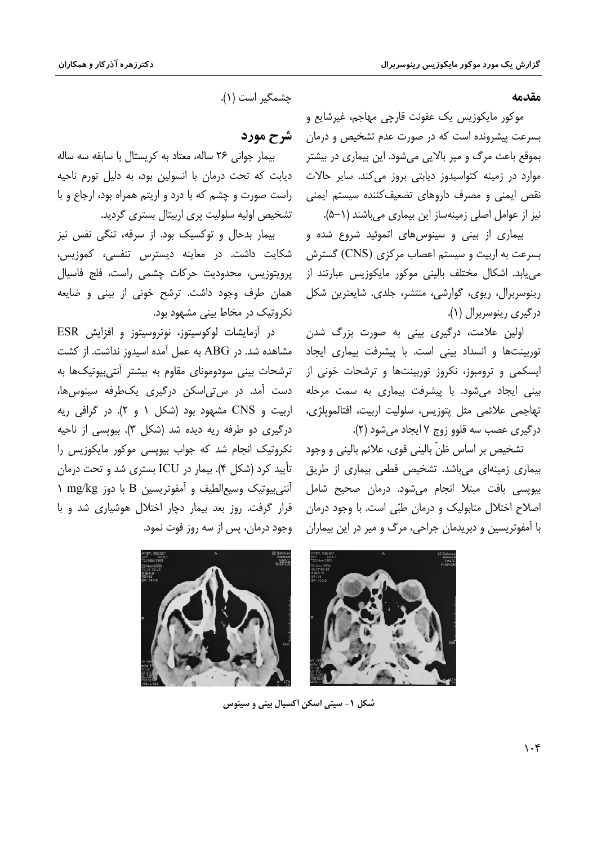مقدمه

موکور مایکوزیس یک عفونت قارچی مهاجم، غیرشایع و بسرعت پیشرونده است که در صورت عدم تشخیص و درمان بموقع باعث مرگ و میر بالایی میشود. این بیماری در بیشتر موارد در زمینه کتواسیدوز دیابتی بروز می *ک*ند. سایر حالات نقص ایمنی و مصرف داروهای تضعیفکننده سیستم ایمنی نیز از عوامل اصلی زمینهساز این بیماری میباشند (۱−۵).

بیماری از بینی و سینوس های اتموئید شروع شده و بسرعت به اربیت و سیستم اعصاب مرکزی (CNS) گسترش می یابد. اشکال مختلف بالینی موکور مایکوزیس عبارتند از رینوسربرال، ریوی، گوارشی، منتشر، جلدی. شایعترین شکل درگیری رینوسربرال (۱).

اولین علامت، درگیری بینی به صورت بزرگ شدن توربینتها و انسداد بینی است. با پیشرفت بیماری ایجاد ایسکمی و ترومبوز، نکروز توربینتها و ترشحات خونی از بینی ایجاد می شود. با پیشرفت بیماری به سمت مرحله تهاجمي علائمي مثل يتوزيس، سلوليت اربيت، افتالمويلژي، درگیری عصب سه قلوو زوج ۷ ایجاد می شود (۲).

تشخيص بر اساس ظنّ باليني قوى، علائم باليني و وجود بیماری زمینهای میباشد. تشخیص قطعی بیماری از طریق بیویسی بافت مبتلا انجام میشود. درمان صحیح شامل اصلاح اختلال متابولیک و درمان طبّی است. با وجود درمان با آمفوتریسین و دبریدمان جراحی، مرگ و میر در این بیماران



## شرح مورد

بیمار جوانی ٢۶ ساله، معتاد به کریستال با سابقه سه ساله دیابت که تحت درمان با انسولین بود، به دلیل تورم ناحیه راست صورت و چشم که با درد و اریتم همراه بود، ارجاع و با تشخیص اولیه سلولیت پری اربیتال بستری گردید.

بیمار بدحال و توکسیک بود. از سرفه، تنگی نفس نیز شكايت داشت. در معاينه ديسترس تنفسي، كموزيس، پرويتوزيس، محدوديت حركات چشمي راست، فلج فاسيال همان طرف وجود داشت. ترشح خونی از بینی و ضایعه نکروتیک در مخاط بینی مشهود بود.

در آزمایشات لوکوسیتوز، نوتروسیتوز و افزایش ESR مشاهده شد. در ABG به عمل آمده اسیدوز نداشت. از کشت ترشحات بيني سودوموناي مقاوم به بيشتر أنتي بيوتيکها به دست آمد. در س تي اسکن درگيري پکطرفه سينوس ها، اربیت و CNS مشهود بود (شکل ۱ و ۲). در گرافی ریه درگیری دو طرفه ریه دیده شد (شکل ۳). بیوپسی از ناحیه نکروتیک انجام شد که جواب بیویسی موکور مایکوزیس را تأييد كرد (شكل ۴). بيمار در ICU بسترى شد و تحت درمان 1 أنتي بيوتيك وسيع الطيف و آمفوتريسين B با دوز mg/kg ١ قرار گرفت. روز بعد بیمار دچار اختلال هوشیاری شد و با وجود درمان، پس از سه روز فوت نمود.



شکل ۱- سیتی اسکن آکسیال بینی و سینوس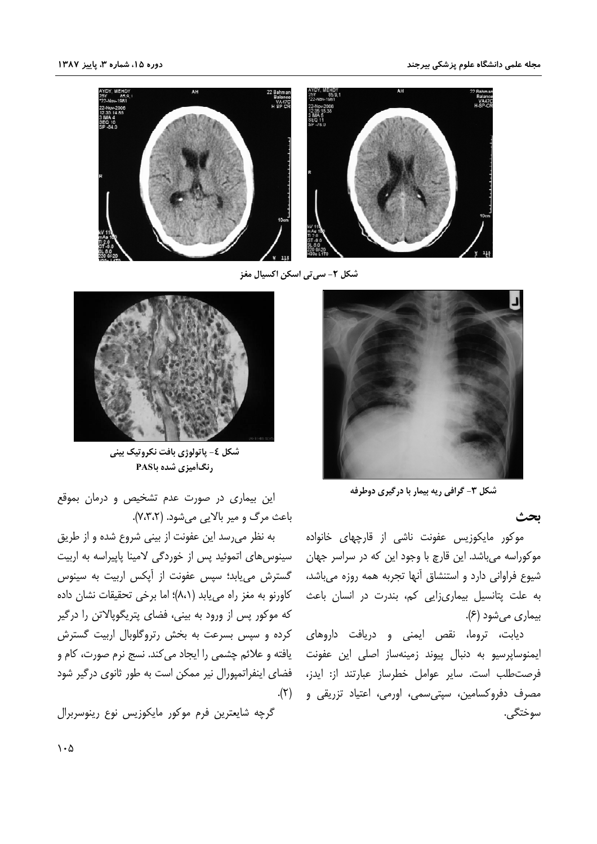

شکل ۲- سی تی اسکن اکسپال مغز



شکل ۳- گرافی ریه بیمار با درگیری دوطرفه

ىحث

موکور مایکوزیس عفونت ناشی از قارچهای خانواده موکوراسه میباشد. این قارچ با وجود این که در سراسر جهان شیوع فراوانی دارد و استنشاق آنها تجربه همه روزه میباشد، به علت پتانسیل بیماریزایی کم، بندرت در انسان باعث بیماری میشود (۶).

دیابت، تروما، نقص ایمنی و دریافت داروهای ایمنوساپرسیو به دنبال پیوند زمینهساز اصلی این عفونت فرصت طلب است. سایر عوامل خطرساز عبارتند از: ایدز، مصرف دفروکسامین، سپتی سمی، اورمی، اعتیاد تزریقی و سوختگے ،



شکل ٤- پاتولوژي بافت نکروتيک بيني رنگآمیزی شده باPAS

این بیماری در صورت عدم تشخیص و درمان بموقع باعث مرگ و میر بالایی می شود. (٧،٣،٢).

به نظر میرسد این عفونت از بینی شروع شده و از طریق سینوس های اتموئید پس از خوردگی لامینا پاییراسه به اربیت گسترش می یابد؛ سیس عفونت از آیکس اربیت به سینوس كاورنو به مغز راه مى يابد (٨،١)؛ اما برخى تحقيقات نشان داده که موکور پس از ورود به بینی، فضای پتریگوپالاتن را درگیر کرده و سپس بسرعت به بخش رتروگلوبال اربیت گسترش یافته و علائم چشمی را ایجاد می کند. نسج نرم صورت، کام و فضای اینفراتمپورال نیر ممکن است به طور ثانوی درگیر شود  $\cdot$ (۲)

گرچه شایعترین فرم موکور مایکوزیس نوع رینوسربرال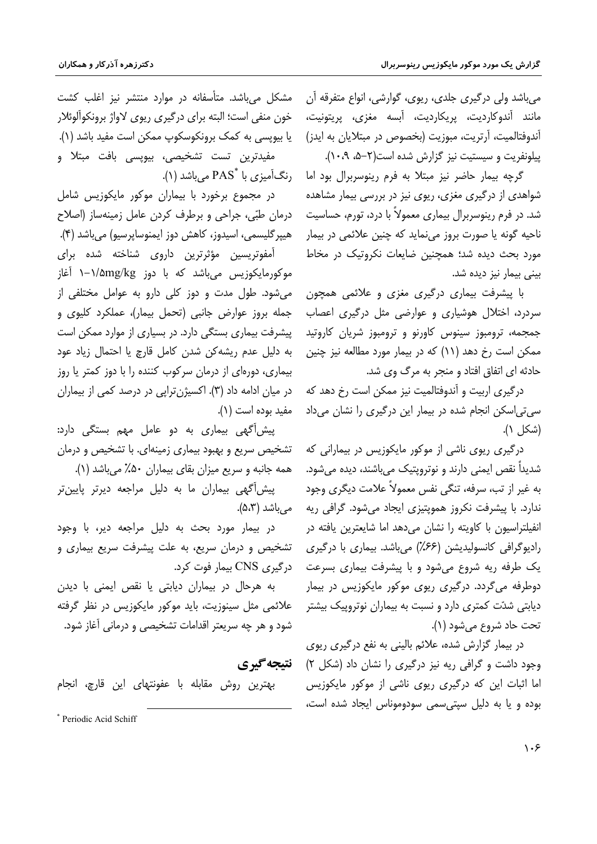مي باشد ولي درگيري جلدي، ريوي، گوارشي، انواع متفرقه آن مانند آندوکاردیت، پریکاردیت، آبسه مغزی، پریتونیت، آندوفتالمیت، آرتریت، مبوزیت (بخصوص در مبتلایان به ایدز) پیلونفریت و سیستیت نیز گزارش شده است(۲-۵، ۱۰،۹).

گرچه بیمار حاضر نیز مبتلا به فرم رینوسربرال بود اما شواهدی از درگیری مغزی، ریوی نیز در بررسی بیمار مشاهده شد. در فرم رینوسربرال بیماری معمولاً با درد، تورم، حساسیت ناحیه گونه یا صورت بروز مینماید که چنین علائمی در بیمار مورد بحث دیده شد؛ همچنین ضایعات نکروتیک در مخاط بينى بيمار نيز ديده شد.

با پیشرفت بیماری درگیری مغزی و علائمی همچون سردرد، اختلال هوشیاری و عوارضی مثل درگیری اعصاب جمجمه، ترومبوز سینوس کاورنو و ترومبوز شریان کاروتید ممکن است رخ دهد (۱۱) که در بیمار مورد مطالعه نیز چنین حادثه ای اتفاق افتاد و منجر به مرگ وی شد.

درگیری اربیت و آندوفتالمیت نیز ممکن است رخ دهد که سی تی اسکن انجام شده در بیمار این درگیری را نشان می داد (شكل ١).

درگیری ریوی ناشی از موکور مایکوزیس در بیمارانی که شديداً نقص ايمني دارند و نوترويتيک مي،باشند، ديده مي شود. به غیر از تب، سرفه، تنگی نفس معمولاً علامت دیگری وجود ندارد. با پیشرفت نکروز هموپتیزی ایجاد میشود. گرافی ریه انفیلتراسیون با کاویته را نشان می دهد اما شایعترین یافته در رادیوگرافی کانسولیدیشن (۶۶٪) می باشد. بیماری با درگیری یک طرفه ریه شروع میشود و با پیشرفت بیماری بسرعت دوطرفه می گردد. درگیری ریوی موکور مایکوزیس در بیمار دیابتی شدّت کمتری دارد و نسبت به بیماران نوتروییک بیشتر تحت حاد شروع مي شود (١).

در بیمار گزارش شده، علائم بالینی به نفع درگیری ریوی وجود داشت و گرافی ریه نیز درگیری را نشان داد (شکل ۲) اما اثبات این که درگیری ریوی ناشی از موکور مایکوزیس بوده و یا به دلیل سیتی سمی سودوموناس ایجاد شده است،

مشکل میباشد. متأسفانه در موارد منتشر نیز اغلب کشت خون منفي است؛ البته براي درگيري ريوي لاواژ برونكوآلوئلار یا بیویسی به کمک برونکوسکوپ ممکن است مفید باشد (۱). مفیدترین تست تشخیصی، بیوپسی بافت مبتلا و رنگآمیزی با \*PAS می باشد (۱).

در مجموع برخورد با بیماران موکور مایکوزیس شامل درمان طبّی، جراحی و برطرف کردن عامل زمینهساز (اصلاح هيپر گليسمي، اسيدوز، كاهش دوز ايمنوساپرسيو) ميباشد (۴).

آمفوتریسین مؤثرترین داروی شناخته شده برای موکورمایکوزیس میباشد که با دوز ۱∕۵mg/kg ا−۱ آغاز می شود. طول مدت و دوز کلی دارو به عوامل مختلفی از جمله بروز عوارض جانبي (تحمل بيمار)، عملكرد كليوى و ییشرفت بیماری بستگی دارد. در بسیاری از موارد ممکن است به دلیل عدم ریشه کن شدن کامل قارچ یا احتمال زیاد عود بیماری، دورهای از درمان سرکوب کننده را با دوز کمتر یا روز در میان ادامه داد (۳). اکسیژن ترایی در درصد کمی از بیماران مفيد بوده است (١).

پیش آگهی بیماری به دو عامل مهم بستگی دارد: تشخیص سریع و بهبود بیماری زمینهای. با تشخیص و درمان همه جانبه و سریع میزان بقای بیماران ۵۰٪ می باشد (۱).

پیش آگھی بیماران ما به دلیل مراجعه دیرتر پایین تر مے باشد (۵،۳).

در بیمار مورد بحث به دلیل مراجعه دیر، با وجود تشخیص و درمان سریع، به علت پیشرفت سریع بیماری و درگیری CNS بیمار فوت کرد.

به هرحال در بیماران دیابتی یا نقص ایمنی با دیدن علائمی مثل سینوزیت، باید موکور مایکوزیس در نظر گرفته شود و هر چه سریعتر اقدامات تشخیصی و درمانی آغاز شود.

نتىجەگىرى

بهترين روش مقابله با عفونتهاى اين قارچ، انجام

\* Periodic Acid Schiff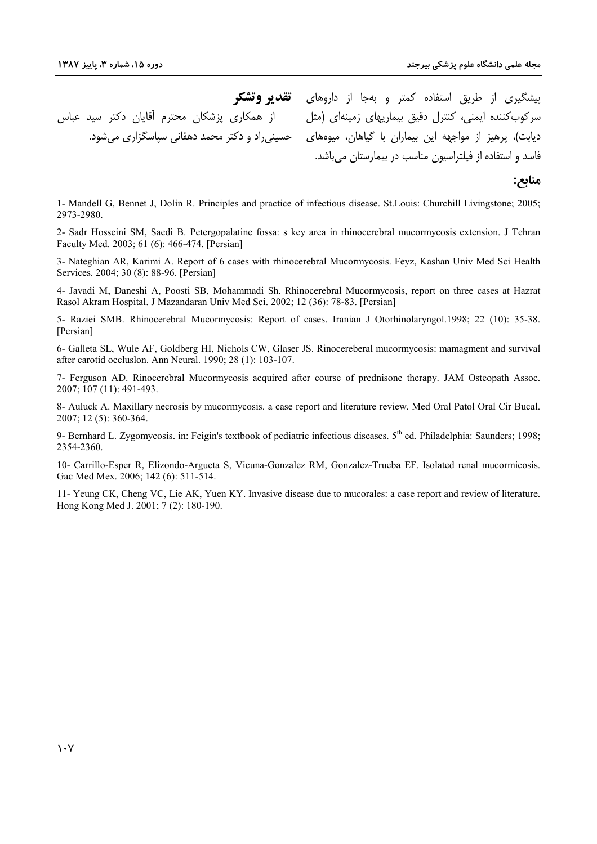از همکاری پزشکان محترم آقایان دکتر سید عباس حسینی راد و دکتر محمد دهقانی سیاسگزاری می شود.

**پ**یشگیری از طریق استفاده کمتر و بهجا از داروهای **تقدیر وتشکر** سرکوبکننده ایمنی، کنترل دقیق بیماریهای زمینهای (مثل دیابت)، پرهیز از مواجهه این بیماران با گیاهان، میوهها*ی* فاسد و استفاده از فیلتراسیون مناسب در بیمارستان می باشد.

## منا**بع:**

1- Mandell G, Bennet J, Dolin R. Principles and practice of infectious disease. St.Louis: Churchill Livingstone; 2005; 2973-2980.

2- Sadr Hosseini SM, Saedi B. Petergopalatine fossa: s key area in rhinocerebral mucormycosis extension. J Tehran Faculty Med. 2003; 61 (6): 466-474. [Persian]

3- Nateghian AR, Karimi A. Report of 6 cases with rhinocerebral Mucormycosis. Feyz, Kashan Univ Med Sci Health Services. 2004; 30 (8): 88-96. [Persian]

4- Javadi M, Daneshi A, Poosti SB, Mohammadi Sh. Rhinocerebral Mucormycosis, report on three cases at Hazrat Rasol Akram Hospital. J Mazandaran Univ Med Sci. 2002; 12 (36): 78-83. [Persian]

5- Raziei SMB. Rhinocerebral Mucormycosis: Report of cases. Iranian J Otorhinolaryngol.1998; 22 (10): 35-38. [Persian]

6- Galleta SL, Wule AF, Goldberg HI, Nichols CW, Glaser JS. Rinocereberal mucormycosis: mamagment and survival after carotid occluslon. Ann Neural. 1990; 28 (1): 103-107.

7- Ferguson AD. Rinocerebral Mucormycosis acquired after course of prednisone therapy. JAM Osteopath Assoc. 2007; 107 (11): 491-493.

8- Auluck A. Maxillary necrosis by mucormycosis. a case report and literature review. Med Oral Patol Oral Cir Bucal. 2007; 12 (5): 360-364.

9- Bernhard L. Zygomycosis. in: Feigin's textbook of pediatric infectious diseases. 5th ed. Philadelphia: Saunders; 1998; 2354-2360.

10- Carrillo-Esper R, Elizondo-Argueta S, Vicuna-Gonzalez RM, Gonzalez-Trueba EF. Isolated renal mucormicosis. Gac Med Mex. 2006; 142 (6): 511-514.

11- Yeung CK, Cheng VC, Lie AK, Yuen KY. Invasive disease due to mucorales: a case report and review of literature. Hong Kong Med J. 2001; 7 (2): 180-190.